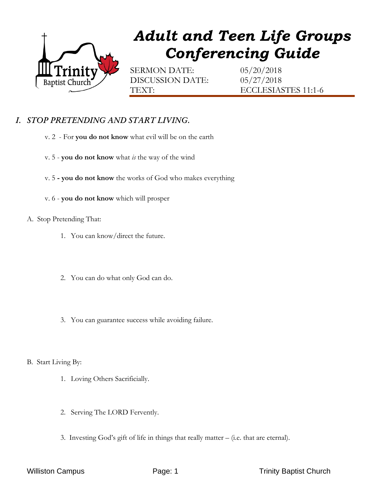

# *Adult and Teen Life Groups Conferencing Guide*

SERMON DATE: 05/20/2018 DISCUSSION DATE: 05/27/2018

TEXT: ECCLESIASTES 11:1-6

## *I. STOP PRETENDING AND START LIVING.*

- v. 2 For **you do not know** what evil will be on the earth
- v. 5 **you do not know** what *is* the way of the wind
- v. 5 **- you do not know** the works of God who makes everything
- v. 6 **you do not know** which will prosper

#### A. Stop Pretending That:

- 1. You can know/direct the future.
- 2. You can do what only God can do.
- 3. You can guarantee success while avoiding failure.

#### B. Start Living By:

- 1. Loving Others Sacrificially.
- 2. Serving The LORD Fervently.
- 3. Investing God's gift of life in things that really matter (i.e. that are eternal).